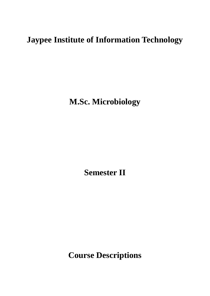# **Jaypee Institute of Information Technology**

**M.Sc. Microbiology**

**Semester II**

**Course Descriptions**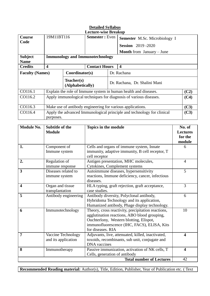| <b>Detailed Syllabus</b> |                                                                             |                      |                                                                                              |  |                  |                                                    |                                 |                         |
|--------------------------|-----------------------------------------------------------------------------|----------------------|----------------------------------------------------------------------------------------------|--|------------------|----------------------------------------------------|---------------------------------|-------------------------|
|                          |                                                                             |                      | <b>Lecture-wise Breakup</b>                                                                  |  |                  |                                                    |                                 |                         |
| <b>Course</b>            | 19M11BT116<br><b>Semester:</b> Even<br><b>Semester M.Sc. Microbiology I</b> |                      |                                                                                              |  |                  |                                                    |                                 |                         |
| Code                     |                                                                             |                      |                                                                                              |  |                  | <b>Session</b> 2019-2020                           |                                 |                         |
|                          |                                                                             |                      |                                                                                              |  |                  | <b>Month</b> from January – June                   |                                 |                         |
| <b>Subject</b>           |                                                                             |                      | <b>Immunology and Immunotechnology</b>                                                       |  |                  |                                                    |                                 |                         |
| <b>Name</b>              |                                                                             |                      |                                                                                              |  |                  |                                                    |                                 |                         |
| <b>Credits</b>           | $\overline{\mathbf{4}}$                                                     |                      | <b>Contact Hours</b>                                                                         |  | $\boldsymbol{4}$ |                                                    |                                 |                         |
| <b>Faculty (Names)</b>   |                                                                             | Coordinator(s)       |                                                                                              |  | Dr. Rachana      |                                                    |                                 |                         |
|                          |                                                                             | Teacher(s)           |                                                                                              |  |                  | Dr. Rachana, Dr. Shalini Mani                      |                                 |                         |
|                          |                                                                             | (Alphabetically)     |                                                                                              |  |                  |                                                    |                                 |                         |
| CO116.1                  |                                                                             |                      | Explain the role of Immune system in human health and diseases.                              |  |                  |                                                    |                                 | (C2)                    |
| CO116.2                  |                                                                             |                      | Apply immunological techniques for diagnosis of various diseases.                            |  |                  |                                                    |                                 | (C4)                    |
| CO116.3                  |                                                                             |                      | Make use of antibody engineering for various applications.                                   |  |                  |                                                    |                                 | (C3)                    |
| CO116.4                  |                                                                             |                      | Apply the advanced Immunological principle and technology for clinical                       |  |                  |                                                    |                                 | (C3)                    |
|                          | purposes.                                                                   |                      |                                                                                              |  |                  |                                                    |                                 |                         |
|                          |                                                                             |                      |                                                                                              |  |                  |                                                    |                                 |                         |
| <b>Module No.</b>        | <b>Subtitle of the</b>                                                      |                      | <b>Topics in the module</b>                                                                  |  |                  |                                                    |                                 | No. of                  |
|                          | <b>Module</b>                                                               |                      |                                                                                              |  |                  |                                                    |                                 | <b>Lectures</b>         |
|                          |                                                                             |                      |                                                                                              |  |                  |                                                    |                                 | for the                 |
|                          |                                                                             |                      |                                                                                              |  |                  |                                                    |                                 | module                  |
| 1.                       | Component of                                                                |                      | Cells and organs of immune system, Innate<br>immunity, adaptive immunity, B cell receptor, T |  |                  | 6                                                  |                                 |                         |
|                          | Immune system                                                               |                      | cell receptor                                                                                |  |                  |                                                    |                                 |                         |
| 2.                       | Regulation of                                                               |                      |                                                                                              |  |                  | Antigen presentation, MHC molecules,               |                                 | $\overline{4}$          |
|                          | immune response                                                             |                      | Cytokines, Complement systems                                                                |  |                  |                                                    |                                 |                         |
| 3                        | Diseases related to                                                         |                      | Autoimmune diseases, hypersensitivity                                                        |  |                  | 5                                                  |                                 |                         |
|                          | immune system                                                               |                      | reactions, Immune deficiency, cancer, infectious                                             |  |                  |                                                    |                                 |                         |
|                          |                                                                             |                      | diseases.                                                                                    |  |                  |                                                    |                                 |                         |
| $\overline{\mathbf{4}}$  | Organ and tissue                                                            |                      |                                                                                              |  |                  | HLA typing, graft rejection, graft acceptance,     |                                 | 3                       |
|                          | transplantation                                                             |                      | case studies.                                                                                |  |                  |                                                    |                                 | 6                       |
| 5                        |                                                                             | Antibody engineering | Antibody diversity, Polyclonal antibody,<br>Hybridoma Technology and its application,        |  |                  |                                                    |                                 |                         |
|                          |                                                                             |                      |                                                                                              |  |                  | Humanized antibody, Phage display technology.      |                                 |                         |
| 6                        | Immunotechnology                                                            |                      |                                                                                              |  |                  | Theory, cross reactivity, precipitation reactions, |                                 | 10                      |
|                          |                                                                             |                      |                                                                                              |  |                  | agglutination reactions, ABO blood grouping,       |                                 |                         |
|                          |                                                                             |                      |                                                                                              |  |                  | Ouchterlony, Western blotting, Elispot,            |                                 |                         |
|                          |                                                                             |                      |                                                                                              |  |                  | immunofluorescence (IHC, FACS), ELISA, Kits        |                                 |                         |
|                          |                                                                             |                      | for diseases. RIA                                                                            |  |                  |                                                    |                                 |                         |
| $\overline{7}$           |                                                                             | Vaccine Technology   |                                                                                              |  |                  | Adjuvants, live, attenuated, killed, inactivated,  |                                 | $\overline{\mathbf{4}}$ |
|                          | and its application                                                         |                      | <b>DNA</b> vaccines                                                                          |  |                  | toxoids, recombinants, sub unit, conjugate and     |                                 |                         |
| 8                        | Immunotherapy                                                               |                      |                                                                                              |  |                  | Passive immunization, activation of NK cells, T    |                                 | $\overline{\mathbf{4}}$ |
|                          |                                                                             |                      | Cells, generation of antibody                                                                |  |                  |                                                    |                                 |                         |
|                          |                                                                             |                      |                                                                                              |  |                  |                                                    | <b>Total number of Lectures</b> | 42                      |

**Recommended Reading material:** Author(s), Title, Edition, Publisher, Year of Publication etc. ( Text

 $\overline{\phantom{a}}$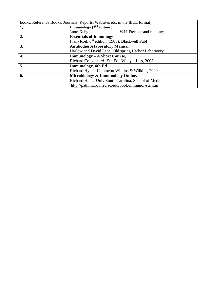| books, Reference Books, Journals, Reports, Websites etc. in the IEEE format) |                                                           |  |
|------------------------------------------------------------------------------|-----------------------------------------------------------|--|
| 1.                                                                           | <b>Immunology</b> $(3rd$ edition)                         |  |
|                                                                              | Janus Kuby<br>W.H. Freeman and company                    |  |
| 2.                                                                           | <b>Essentials of Immunogy</b>                             |  |
|                                                                              | Ivan-Roit; 6 <sup>th</sup> edition (1988); Blackwell Publ |  |
| 3.                                                                           | <b>Antibodies A laboratory Manual</b>                     |  |
|                                                                              | Harlow and David Lane, Old spring Harbor Laboratory       |  |
| 4.                                                                           | Immunology - A Short Course,                              |  |
|                                                                              | Richard Coico, et al. 5th Ed., Wiley – Liss, 2003.        |  |
| 5.                                                                           | <b>Immunology</b> , 4th Ed                                |  |
|                                                                              | Richard Hyde. Lippincott Wilkins & Wilkins, 2000.         |  |
| 6.                                                                           | Microbiology & Immunology Online.                         |  |
|                                                                              | Richard Hunt. Univ South Carolina, School of Medicine,    |  |
|                                                                              | http://pathmicro.med.sc.edu/book/immunol-sta.htm          |  |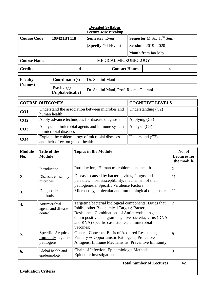| <b>Lecture-wise Breakup</b> |                                 |                                                                                                                                                                                                                                                                                                        |                                                                                                                                                       |                                                                                                                                                  |                           |                                     |                                             |
|-----------------------------|---------------------------------|--------------------------------------------------------------------------------------------------------------------------------------------------------------------------------------------------------------------------------------------------------------------------------------------------------|-------------------------------------------------------------------------------------------------------------------------------------------------------|--------------------------------------------------------------------------------------------------------------------------------------------------|---------------------------|-------------------------------------|---------------------------------------------|
| <b>Course Code</b>          |                                 | 19M21BT118                                                                                                                                                                                                                                                                                             |                                                                                                                                                       | <b>Semester</b> Even                                                                                                                             |                           | Semester M.Sc. II <sup>nd</sup> Sem |                                             |
|                             |                                 |                                                                                                                                                                                                                                                                                                        |                                                                                                                                                       | (Specify Odd/Even)                                                                                                                               |                           | <b>Session</b> 2019-2020            |                                             |
|                             |                                 |                                                                                                                                                                                                                                                                                                        |                                                                                                                                                       |                                                                                                                                                  | <b>Month from Jan-May</b> |                                     |                                             |
| <b>Course Name</b>          |                                 |                                                                                                                                                                                                                                                                                                        |                                                                                                                                                       | MEDICAL MICROBIOLOGY                                                                                                                             |                           |                                     |                                             |
| <b>Credits</b>              |                                 |                                                                                                                                                                                                                                                                                                        | 4                                                                                                                                                     | <b>Contact Hours</b>                                                                                                                             |                           |                                     | $\overline{4}$                              |
| <b>Faculty</b>              |                                 | Coordinator(s)                                                                                                                                                                                                                                                                                         |                                                                                                                                                       | Dr. Shalini Mani                                                                                                                                 |                           |                                     |                                             |
| (Names)                     |                                 | Teacher(s)<br>(Alphabetically)                                                                                                                                                                                                                                                                         |                                                                                                                                                       | Dr. Shalini Mani, Prof. Reema Gabrani                                                                                                            |                           |                                     |                                             |
| <b>COURSE OUTCOMES</b>      |                                 |                                                                                                                                                                                                                                                                                                        |                                                                                                                                                       |                                                                                                                                                  |                           | <b>COGNITIVE LEVELS</b>             |                                             |
| CO1                         |                                 | human health                                                                                                                                                                                                                                                                                           |                                                                                                                                                       | Understand the association between microbes and                                                                                                  |                           | Understanding $(C2)$                |                                             |
| CO <sub>2</sub>             |                                 |                                                                                                                                                                                                                                                                                                        |                                                                                                                                                       | Apply advance techniques for disease diagnosis                                                                                                   | Applying (C3)             |                                     |                                             |
| CO <sub>3</sub>             |                                 | in microbial diseases                                                                                                                                                                                                                                                                                  | Analyze antimicrobial agents and immune system<br>Analyze (C4)                                                                                        |                                                                                                                                                  |                           |                                     |                                             |
| CO <sub>4</sub>             |                                 | Explain the epidemiology of microbial diseases<br>Understand (C2)<br>and their effect on global health                                                                                                                                                                                                 |                                                                                                                                                       |                                                                                                                                                  |                           |                                     |                                             |
| <b>Module</b><br>No.        | <b>Module</b>                   | <b>Title of the</b>                                                                                                                                                                                                                                                                                    |                                                                                                                                                       | <b>Topics in the Module</b>                                                                                                                      |                           |                                     | No. of<br><b>Lectures for</b><br>the module |
| 1.                          | Introduction                    |                                                                                                                                                                                                                                                                                                        |                                                                                                                                                       | Introduction, Human microbiome and health                                                                                                        |                           |                                     | $\overline{2}$                              |
| 2.                          | Diseases caused by<br>microbes: |                                                                                                                                                                                                                                                                                                        |                                                                                                                                                       | Diseases caused by bacteria, virus, fungus and<br>parasites; host susceptibility; mechanism of their<br>pathogenesis; Specific Virulence Factors |                           |                                     | 11                                          |
| 3.                          | Diagnostic<br>methods           |                                                                                                                                                                                                                                                                                                        | Microscopy, molecular and immunological diagnostics                                                                                                   |                                                                                                                                                  | 11                        |                                     |                                             |
| 4.                          | Antimicrobial<br>control        | Targeting bacterial biological components; Drugs that<br>Inhibit other Biochemical Targets; Bacterial<br>agents and disease<br>Resistance; Combinations of Antimicrobial Agents;<br>Gram positive and gram negative bacteria, virus (DNA<br>and RNA) specific case studies; antimicrobial<br>vaccines; |                                                                                                                                                       | $\overline{7}$                                                                                                                                   |                           |                                     |                                             |
| 5.                          | pathogens                       | Specific Acquired<br>Immunity against                                                                                                                                                                                                                                                                  | General Concepts; Basis of Acquired Resistance;<br>Primary vs Opportunistic Pathogens; Protective<br>Antigens; Immune Mechanisms; Preventive Immunity |                                                                                                                                                  | 8                         |                                     |                                             |
| 6.                          |                                 | Global health and<br>epidemiology                                                                                                                                                                                                                                                                      | Chain of Infection; Epidemiologic Methods;<br>3<br>Epidemic Investigation                                                                             |                                                                                                                                                  |                           |                                     |                                             |
|                             |                                 |                                                                                                                                                                                                                                                                                                        |                                                                                                                                                       |                                                                                                                                                  |                           | <b>Total number of Lectures</b>     | 42                                          |
| <b>Evaluation Criteria</b>  |                                 |                                                                                                                                                                                                                                                                                                        |                                                                                                                                                       |                                                                                                                                                  |                           |                                     |                                             |

## **Detailed Syllabus**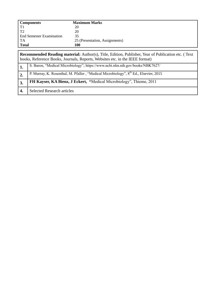| <b>Components</b>                                                                                         | <b>Maximum Marks</b>           |  |
|-----------------------------------------------------------------------------------------------------------|--------------------------------|--|
| T1                                                                                                        | 20                             |  |
| T <sub>2</sub>                                                                                            | 20                             |  |
| <b>End Semester Examination</b>                                                                           | 35                             |  |
| TA                                                                                                        | 25 (Presentation, Assignments) |  |
| <b>Total</b>                                                                                              | 100                            |  |
|                                                                                                           |                                |  |
| <b>Recommended Reading material:</b> Author(s), Title, Edition, Publisher, Year of Publication etc. (Text |                                |  |

|                  | books, Reference Books, Journals, Reports, Websites etc. in the IEEE format)                     |  |  |
|------------------|--------------------------------------------------------------------------------------------------|--|--|
|                  | S. Baron, "Medical Microbiology"; https://www.ncbi.nlm.nih.gov/books/NBK7627/                    |  |  |
| $\overline{2}$ . | P. Murray, K. Rosenthal, M. Pfaller, "Medical Microbiology", 8 <sup>th</sup> Ed., Elsevier, 2015 |  |  |
| 3.               | FH Kayser, KA Bienz, J Eckert, "Medical Microbiology", Thieme, 2011                              |  |  |
|                  | <b>Selected Research articles</b>                                                                |  |  |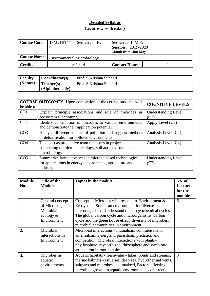### **Detailed Syllabus**

#### **Lecture-wise Breakup**

| Course Code    | 19M21BT11                         | <b>Semester:</b> Even | <b>Semester:</b> II M.Sc<br><b>Session : 2019-2020</b><br><b>Month from: Jan-May</b> |  |
|----------------|-----------------------------------|-----------------------|--------------------------------------------------------------------------------------|--|
| Course Name    | <b>Environmental Microbiology</b> |                       |                                                                                      |  |
| <b>Credits</b> | $3 - 1 - 0 - 4$                   |                       | <b>Contact Hours</b>                                                                 |  |

| <b>Faculty</b>         | $\mathbf{\mathcal{C}o}$ coordinator(s) | Prof. S Krishna Sundari |
|------------------------|----------------------------------------|-------------------------|
| $\blacksquare$ (Names) | Teacher(s)                             | Prof. S Krishna Sundari |
|                        | $\blacksquare$ (Alphabetically)        |                         |

| be able to      | <b>COURSE OUTCOMES:</b> Upon completion of the course, students will                                                            | <b>COGNITIVE LEVELS</b>            |
|-----------------|---------------------------------------------------------------------------------------------------------------------------------|------------------------------------|
| CO <sub>1</sub> | Explain principle associations and role of microbes in<br>ecosystem functioning                                                 | <b>Understanding Level</b><br>(C2) |
| CO <sub>2</sub> | Identify contribution of microbes to various environments<br>and demonstrate their application potential                        | Apply Level $(C3)$                 |
| CO <sub>3</sub> | Analyse different aspects of pollution and suggest methods<br>of detoxification for polluted environments                       | Analysis Level (C4)                |
| CO <sub>4</sub> | Take part as productive team members in projects<br>concerning to microbial ecology, soil and environmental<br>microbiology     | Analysis Level (C4)                |
| CO <sub>5</sub> | Summarize latest advances in microbe based technologies<br>for applications in energy, environment, agriculture and<br>industry | <b>Understanding Level</b><br>(C2) |

| <b>Module</b><br>No. | Title of the<br><b>Module</b>                                               | Topics in the module                                                                                                                                                                                                                                                                                                     | No. of<br><b>Lectures</b><br>for the<br>module |
|----------------------|-----------------------------------------------------------------------------|--------------------------------------------------------------------------------------------------------------------------------------------------------------------------------------------------------------------------------------------------------------------------------------------------------------------------|------------------------------------------------|
| 1.                   | General concept<br>of Microbes,<br>Microbial<br>ecology $\&$<br>Environment | Concept of Microbes with respect to Environment $\&$<br>Ecosystem, Soil as an environment for diverse<br>microorganisms, Understand the biogeochemical cycles,<br>The global carbon cycle and microorganisms, carbon<br>cycle and the green house effect, diversity of microbes,<br>microbial communities in environment | 6                                              |
| $\overline{2}$ .     | Microbial<br>interactions in<br>Environment                                 | Microbial interactions - mutualism, commensalism,<br>amensalism, synergism, parasitism, predation and<br>competition, Microbial interactions with plants-<br>phyllosphere, mycorrhizae, rhizosphere and symbiotic<br>association in root nodules.                                                                        | $\overline{4}$                                 |
| 3.                   | Microbes in<br>aquatic<br>environments                                      | Aquatic habitats - freshwater - lakes, ponds and streams;<br>marine habitats - estuaries, deep sea, hydrothermal vents,<br>saltpans and microbes acclimatised, Factors affecting<br>microbial growth in aquatic environments, coral reefs                                                                                | 3                                              |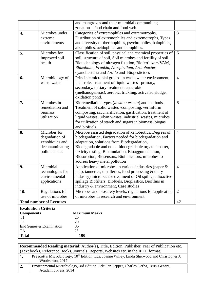|                                                                                                                                                                                     |                                                                                        | and mangroves and their microbial communities;<br>zonation – food chain and food web.                                                                                                                                                                                                                                                                                 |                |
|-------------------------------------------------------------------------------------------------------------------------------------------------------------------------------------|----------------------------------------------------------------------------------------|-----------------------------------------------------------------------------------------------------------------------------------------------------------------------------------------------------------------------------------------------------------------------------------------------------------------------------------------------------------------------|----------------|
| 4.                                                                                                                                                                                  | Microbes under<br>extreme<br>environments                                              | Categories of extremophiles and extremotrophs,<br>Distribution of extremophiles and extremotrophs, Types<br>and diversity of thermophiles, psychrophiles, halophiles,<br>alkaliphiles, acidophiles and barophiles.                                                                                                                                                    | 3              |
| 5.                                                                                                                                                                                  | Microbes for<br>improved soil<br>health                                                | Classification of soil, physical and chemical properties of<br>soil, structure of soil, Soil microbes and fertility of soil,<br>Biotechnology of nitrogen fixation, Biofertilizers VAM,<br>Rhizobium, Frankia, Azospirillum, Azotobacter,<br>cyanobacteria and Azolla and Biopesticides                                                                               | 6              |
| 6.                                                                                                                                                                                  | Microbiology of<br>waste water                                                         | Principle microbial groups in waste water environment,<br>their role, Treatment of liquid wastes -primary,<br>secondary, tertiary treatment; anaerobic<br>(methanogenesis), aerobic, trickling, activated sludge,<br>oxidation pond.                                                                                                                                  | $\overline{4}$ |
| 7.                                                                                                                                                                                  | Microbes in<br>remediation and<br>biomass<br>utilization                               | Bioremediation types (in situ / ex situ) and methods,<br>Treatment of solid wastes -composting, vermiform<br>composting, saccharification, gasification, treatment of<br>liquid wastes, urban wastes, industrial wastes, microbes<br>for utilization of starch and sugars in biomass, biogas<br>and biofuels                                                          | 6              |
| 8.                                                                                                                                                                                  | Microbes for<br>degradation of<br>xenobiotics and<br>decontaminating<br>polluted sites | Microbe assisted degradation of xenobiotics, Degrees of<br>biodegradation, Factors needed for biodegradation and<br>adaptation, solutions from Biodegradation,<br>Biodegradable and non - biodegradable organic matter,<br>toxicity testing, Bistimulation, Bioaggumentation,<br>Biosorption, Biosensors, Bioindicators, microbes to<br>address heavy metal pollution | $\overline{4}$ |
| 9.                                                                                                                                                                                  | Microbial<br>technologies for<br>environmental<br>applications                         | Application of microbes in various industries (paper &<br>pulp, tanneries, distilleries, food processing & diary<br>industry) microbes for treatment of Oil spills, radioactive<br>spillage Biofilters, Biofuels, Bioplastics, Biofilms in<br>industry & environment, Case studies                                                                                    | $\overline{4}$ |
| 10.                                                                                                                                                                                 | Regulations for<br>use of microbes                                                     | Microbes and biosafety levels, regulations for application<br>of microbes in research and environment                                                                                                                                                                                                                                                                 | 2              |
|                                                                                                                                                                                     | <b>Total number of Lectures</b>                                                        |                                                                                                                                                                                                                                                                                                                                                                       | 42             |
| <b>Evaluation Criteria</b><br><b>Maximum Marks</b><br><b>Components</b><br>20<br>T <sub>1</sub><br>T <sub>2</sub><br>20<br><b>End Semester Examination</b><br>35<br>25<br><b>TA</b> |                                                                                        |                                                                                                                                                                                                                                                                                                                                                                       |                |
| <b>Total</b>                                                                                                                                                                        |                                                                                        | 100                                                                                                                                                                                                                                                                                                                                                                   |                |

|    | <b>Recommended Reading material:</b> Author(s), Title, Edition, Publisher, Year of Publication etc.                          |  |  |
|----|------------------------------------------------------------------------------------------------------------------------------|--|--|
|    | (Text books, Reference Books, Journals, Reports, Websites etc. in the IEEE format)                                           |  |  |
| 1. | Prescott's Microbiology, 10 <sup>th</sup> Edition, Eds. Joanne Willey, Linda Sherwood and Christopher J.<br>Woolverton, 2017 |  |  |
|    | Environmental Microbiology, 3rd Edition, Eds: Ian Pepper, Charles Gerba, Terry Gentry,<br>Academic Press, 2014               |  |  |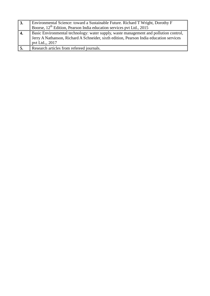| $\vert 3.$     | Environmental Science: toward a Sustainable Future. Richard T Wright, Dorothy F<br>Boorse, 12 <sup>th</sup> Edition, Pearson India education services pvt Ltd., 2015                               |
|----------------|----------------------------------------------------------------------------------------------------------------------------------------------------------------------------------------------------|
| <sup>4</sup> . | Basic Environmental technology: water supply, waste management and pollution control,<br>Jerry A Nathanson, Richard A Schneider, sixth edition, Pearson India education services<br>pvt Ltd., 2017 |
|                | Research articles from refereed journals.                                                                                                                                                          |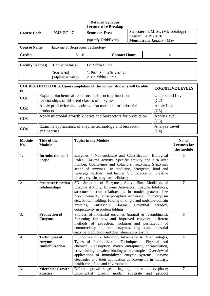#### **Detailed Syllabus Lecture-wise Breakup**

| <b>Course Code</b>                                                                                                       |                                                                                                   | 19M21BT117                                                            | <b>Semester</b> Even<br>(specify Odd/Even)               |                                 | <b>Session</b> 2019 -2020 |   | <b>Semester</b> II, M. Sc. (Microbiology)<br><b>Month from January - May</b> |
|--------------------------------------------------------------------------------------------------------------------------|---------------------------------------------------------------------------------------------------|-----------------------------------------------------------------------|----------------------------------------------------------|---------------------------------|---------------------------|---|------------------------------------------------------------------------------|
| <b>Course Name</b>                                                                                                       |                                                                                                   | Enzyme & Bioprocess Technology                                        |                                                          |                                 |                           |   |                                                                              |
| <b>Credits</b>                                                                                                           |                                                                                                   | $3 - 1 - 0$<br><b>Contact Hours</b>                                   |                                                          |                                 |                           | 4 |                                                                              |
| <b>Faculty (Names)</b>                                                                                                   |                                                                                                   | Coordinator(s)                                                        | Dr. Vibha Gupta                                          |                                 |                           |   |                                                                              |
|                                                                                                                          |                                                                                                   | Teacher(s)<br>(Alphabetically)                                        | 1. Prof. Sudha Srivastava<br>2. Dr. Vibha Gupta          |                                 |                           |   |                                                                              |
| to                                                                                                                       |                                                                                                   | COURSE OUTCOMES: Upon completion of the course, students will be able |                                                          |                                 |                           |   | <b>COGNITIVE LEVELS</b>                                                      |
| Explain biochemical reactions and structure function<br>CO <sub>1</sub><br>relationships of different classes of enzymes |                                                                                                   |                                                                       |                                                          | <b>Understand Level</b><br>(C2) |                           |   |                                                                              |
| CO <sub>2</sub><br>products                                                                                              |                                                                                                   |                                                                       | Apply production and optimization methods for industrial |                                 | Apply Level<br>(C3)       |   |                                                                              |
| CO <sub>3</sub>                                                                                                          | Apply microbial growth kinetics and bioreactors for production<br>Apply Level<br>(C3)             |                                                                       |                                                          |                                 |                           |   |                                                                              |
| CO <sub>4</sub>                                                                                                          | Examine applications of enzyme technology and bioreactor<br>Analyze Level<br>(C4)<br>engineering. |                                                                       |                                                          |                                 |                           |   |                                                                              |

| <b>Module</b><br>No. | Title of the<br><b>Module</b>                           | <b>Topics in the Module</b>                                                                                                                                                                                                                                                                                                                                                                        | No. of<br><b>Lectures</b> for<br>the module |
|----------------------|---------------------------------------------------------|----------------------------------------------------------------------------------------------------------------------------------------------------------------------------------------------------------------------------------------------------------------------------------------------------------------------------------------------------------------------------------------------------|---------------------------------------------|
| 1.                   | <b>Introduction and</b><br><b>Scope</b>                 | Enzymes - Nomenclature and Classification, Biological<br>Roles, Enzyme activity, Specific activity and turn over<br>number, Coenzymes and cofactors, Isozymes, Synzymes<br>scope of enzymes in medicine, detergents, food and<br>beverage, textiles and leather. Significance of creatine<br>kinase, trypsin, amylase, cellulase;                                                                  | 5                                           |
| $\overline{2}$       | <b>Structure function</b><br>relationships              | 3D- Structure of Enzymes, Active Site, Modifiers of<br>Enzyme Activity, Enzyme Activators, Enzyme Inhibitors,<br>structure-function relationships in model proteins like<br>ribonuclease A, Triose phosphate isomerase, chymotrypsin<br>etc.; Protein folding: folding of single and multiple-domain<br>proteins, Anfinsen"s Dogma, Levinthal<br>paradox,<br>cooperativity in protein folding      | 7                                           |
| 3.                   | <b>Production of</b><br><b>Enzymes</b>                  | Sources of industrial enzymes (natural & recombinant),<br>Screening for new and improved enzymes, different<br>methods of extraction, isolation and purification of<br>commercially important enzymes, large-scale industrial<br>enzyme production and downstream processing                                                                                                                       | 6                                           |
| $\overline{4}$ .     | <b>Techniques of</b><br>enzyme<br><b>Immobilization</b> | Immobilization - Definition, Advantages & Disadvantages,<br>Types of Immobilization Techniques - Physical and<br>chemical - adsorption, matrix entrapment, encapsulation,<br>cross-linking, covalent binding with examples; Overview of<br>applications of immobilized enzyme systems, Enzyme<br>electrodes and their application as biosensors in industry,<br>health care, food and environment. | $\overline{4}$                              |
| 5.                   | <b>Microbial Growth</b><br>kinetics                     | Different growth stages $-$ lag, log and stationary phase;<br>Exponential growth model,<br>substrate<br>and<br>product                                                                                                                                                                                                                                                                             | $\overline{7}$                              |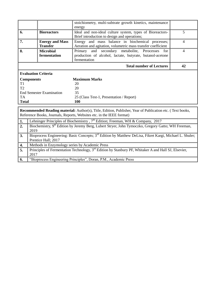|                                                                                                                                                                                           |                                                                                        | stoichiometry, multi-subtrate growth kinetics, maintenance<br>energy                                                             |                |  |  |
|-------------------------------------------------------------------------------------------------------------------------------------------------------------------------------------------|----------------------------------------------------------------------------------------|----------------------------------------------------------------------------------------------------------------------------------|----------------|--|--|
| 6.                                                                                                                                                                                        | <b>Bioreactors</b>                                                                     | Ideal and non-ideal culture system, types of Bioreactors-<br>Brief introduction to design and operations;                        | 5              |  |  |
| 7.                                                                                                                                                                                        | <b>Energy and Mass</b><br><b>Transfer</b>                                              | Energy and mass balance in biochemical processes;<br>Aeration and agitation, volumetric mass transfer coefficient                | $\overline{4}$ |  |  |
| 8.                                                                                                                                                                                        | <b>Microbial</b><br>fermentation                                                       | Primary and secondary metabolite, Prrocesses<br>for<br>production of alcohol, lactate, butyrate, butanol-acetone<br>fermentation | $\overline{4}$ |  |  |
| <b>Total number of Lectures</b>                                                                                                                                                           |                                                                                        |                                                                                                                                  |                |  |  |
| <b>Evaluation Criteria</b>                                                                                                                                                                |                                                                                        |                                                                                                                                  |                |  |  |
| <b>Components</b>                                                                                                                                                                         |                                                                                        | <b>Maximum Marks</b>                                                                                                             |                |  |  |
| T <sub>1</sub>                                                                                                                                                                            |                                                                                        | 20                                                                                                                               |                |  |  |
| T <sub>2</sub>                                                                                                                                                                            |                                                                                        | 20                                                                                                                               |                |  |  |
|                                                                                                                                                                                           | <b>End Semester Examination</b>                                                        | 35                                                                                                                               |                |  |  |
| TA                                                                                                                                                                                        |                                                                                        | 25 (Class Test-1, Presentation / Report)                                                                                         |                |  |  |
| <b>Total</b>                                                                                                                                                                              |                                                                                        | 100                                                                                                                              |                |  |  |
|                                                                                                                                                                                           |                                                                                        |                                                                                                                                  |                |  |  |
| <b>Recommended Reading material:</b> Author(s), Title, Edition, Publisher, Year of Publication etc. (Text books,<br>Reference Books, Journals, Reports, Websites etc. in the IEEE format) |                                                                                        |                                                                                                                                  |                |  |  |
|                                                                                                                                                                                           | Lehninger Principles of Biochemistry, $7th$ Edition; Freeman, WH & Company, 2017<br>1. |                                                                                                                                  |                |  |  |

|     | Lenninger Principles of Biochemistry, $\sqrt{\ }$ Edition; Freeman, WH & Company, 2017                              |
|-----|---------------------------------------------------------------------------------------------------------------------|
| 2.  | Biochemistry, 9 <sup>th</sup> Edition by Jeremy Berg, Lubert Stryer, John Tymoczko, Gregory Gatto; WH Freeman,      |
|     | 2019                                                                                                                |
| 3.  | Bioprocess Engineering: Basic Concepts; 3 <sup>rd</sup> Edition by Matthew DeLisa, Fikret Kargi, Michael L. Shuler; |
|     | Prentice Hall; 2017                                                                                                 |
| 4.  | Methods in Enzymology series by Academic Press                                                                      |
| -5. | Principles of Fermentation Technology, 3 <sup>rd</sup> Edition by Stanbury PF, Whitaker A and Hall SJ, Elsevier,    |
|     | 2017                                                                                                                |
| 6.  | "Bioprocess Engineering Principles", Doran, P.M., Academic Press                                                    |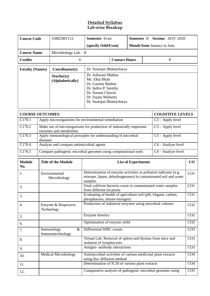#### **Detailed Syllabus Lab-wise Breakup**

| <b>Course Code</b>     |                                        | 19M25BT112                                                                                     | <b>Semester</b> Even                                                                                                                                      |                      | <b>Semester II Session 2019-2020</b>                         |                 |                  |                 |
|------------------------|----------------------------------------|------------------------------------------------------------------------------------------------|-----------------------------------------------------------------------------------------------------------------------------------------------------------|----------------------|--------------------------------------------------------------|-----------------|------------------|-----------------|
|                        |                                        |                                                                                                |                                                                                                                                                           |                      |                                                              |                 |                  |                 |
|                        |                                        |                                                                                                | Month from January to June<br>(specify Odd/Even)                                                                                                          |                      |                                                              |                 |                  |                 |
| <b>Course Name</b>     |                                        | Microbiology Lab - II                                                                          |                                                                                                                                                           |                      |                                                              |                 |                  |                 |
| <b>Credits</b>         |                                        | 4                                                                                              |                                                                                                                                                           | <b>Contact Hours</b> |                                                              |                 | 8                |                 |
| <b>Faculty (Names)</b> |                                        | Coordinator(s)                                                                                 | Dr. Susinjan Bhattacharya                                                                                                                                 |                      |                                                              |                 |                  |                 |
|                        |                                        | Teacher(s)<br>(Alphabetically)                                                                 | Dr. Ashwani Mathur<br>Ms. Ekta Bhatt<br>Dr. Garima Mathur<br>Dr. Indira P. Sarethy<br>Dr. Sonam Chawla<br>Dr. Sujata Mohanty<br>Dr. Susinjan Bhattacharya |                      |                                                              |                 |                  |                 |
| <b>COURSE OUTCOMES</b> |                                        |                                                                                                | <b>COGNITIVE LEVELS</b>                                                                                                                                   |                      |                                                              |                 |                  |                 |
| C170.1                 |                                        | Apply microorganisms for environmental remediation                                             |                                                                                                                                                           |                      |                                                              |                 | C3 - Apply level |                 |
| C170.2                 |                                        | Make use of microorganisms for production of industrially important<br>enzymes and metabolites |                                                                                                                                                           |                      |                                                              |                 | C3 - Apply level |                 |
| C170.3                 | diseases                               |                                                                                                | Apply immunological principles for understanding of microbial                                                                                             |                      |                                                              |                 | C3 - Apply level |                 |
| C170.4                 |                                        | Analyze and compare antimicrobial agents<br>C4 - Analyze level                                 |                                                                                                                                                           |                      |                                                              |                 |                  |                 |
| C170.5                 |                                        | Compare pathogenic microbial genomes using computational tools<br>C4 - Analyze level           |                                                                                                                                                           |                      |                                                              |                 |                  |                 |
| <b>Module</b><br>No.   | <b>Title of the Module</b>             |                                                                                                | <b>List of Experiments</b>                                                                                                                                |                      |                                                              |                 | CO               |                 |
| 1.                     | Environmental<br>Microbiology          |                                                                                                | Determination of enzyme activities as pollution indicator (e.g.<br>esterase, lipase, dehydrogenases) in contaminated soil and water<br>samples.           |                      |                                                              |                 | CO <sub>1</sub>  |                 |
| 2.                     |                                        |                                                                                                | Total coliform bacteria count in contaminated water samples<br>from different locations                                                                   |                      |                                                              |                 |                  | CO <sub>1</sub> |
| 3.                     |                                        |                                                                                                | Evaluating of health of agriculture soil (pH, Organic carbon,<br>phosphorous, nitrate-nitrogen)                                                           |                      |                                                              |                 | CO <sub>1</sub>  |                 |
| 4.                     | Enzyme & Bioprocess<br>Technology      |                                                                                                | Production of industrial enzymes using microbial cultures                                                                                                 |                      |                                                              |                 | CO <sub>2</sub>  |                 |
| 5.                     |                                        |                                                                                                | Enzyme kinetics                                                                                                                                           |                      |                                                              |                 | CO <sub>2</sub>  |                 |
| 6.                     |                                        |                                                                                                | Optimization of enzyme yield                                                                                                                              |                      |                                                              |                 | CO <sub>2</sub>  |                 |
| 7.                     | $\&$<br>Immunology<br>Immunotechnology |                                                                                                | Differential WBC counts                                                                                                                                   |                      |                                                              | CO <sub>3</sub> |                  |                 |
| 8.                     |                                        |                                                                                                | Virtual Lab: Removal of spleen and thymus from mice and<br>isolation of lymphocytes                                                                       |                      |                                                              |                 | CO <sub>3</sub>  |                 |
| 9.                     |                                        |                                                                                                | Antigen-antibody interactions                                                                                                                             |                      |                                                              |                 |                  | CO <sub>3</sub> |
| 10.                    |                                        | <b>Medical Microbiology</b><br>using disc diffusion method                                     |                                                                                                                                                           |                      | Antimicrobial activities of various medicinal plant extracts |                 |                  | CO <sub>4</sub> |
| 11.                    |                                        |                                                                                                | Determination of IC50 of various plant extracts                                                                                                           |                      |                                                              |                 |                  | CO <sub>4</sub> |
| 12.                    |                                        |                                                                                                | Comparative analysis of pathogenic microbial genomes using                                                                                                |                      |                                                              | CO <sub>5</sub> |                  |                 |